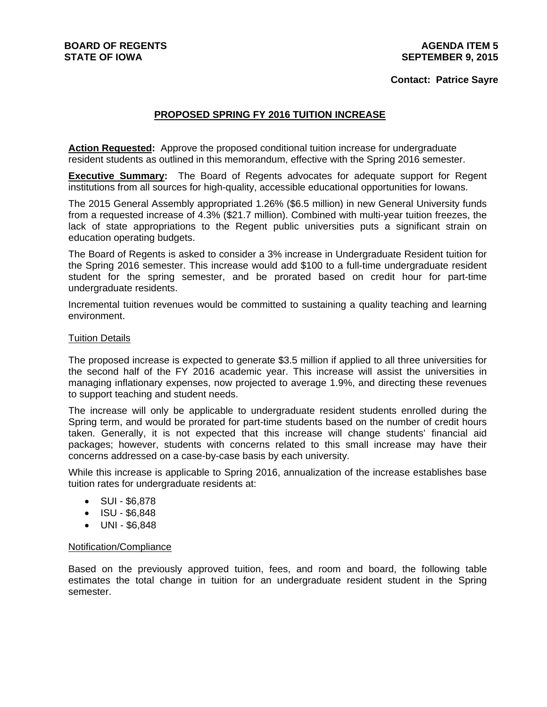### **Contact: Patrice Sayre**

## **PROPOSED SPRING FY 2016 TUITION INCREASE**

**Action Requested:** Approve the proposed conditional tuition increase for undergraduate resident students as outlined in this memorandum, effective with the Spring 2016 semester.

**Executive Summary:** The Board of Regents advocates for adequate support for Regent institutions from all sources for high-quality, accessible educational opportunities for Iowans.

The 2015 General Assembly appropriated 1.26% (\$6.5 million) in new General University funds from a requested increase of 4.3% (\$21.7 million). Combined with multi-year tuition freezes, the lack of state appropriations to the Regent public universities puts a significant strain on education operating budgets.

The Board of Regents is asked to consider a 3% increase in Undergraduate Resident tuition for the Spring 2016 semester. This increase would add \$100 to a full-time undergraduate resident student for the spring semester, and be prorated based on credit hour for part-time undergraduate residents.

Incremental tuition revenues would be committed to sustaining a quality teaching and learning environment.

#### Tuition Details

The proposed increase is expected to generate \$3.5 million if applied to all three universities for the second half of the FY 2016 academic year. This increase will assist the universities in managing inflationary expenses, now projected to average 1.9%, and directing these revenues to support teaching and student needs.

The increase will only be applicable to undergraduate resident students enrolled during the Spring term, and would be prorated for part-time students based on the number of credit hours taken. Generally, it is not expected that this increase will change students' financial aid packages; however, students with concerns related to this small increase may have their concerns addressed on a case-by-case basis by each university.

While this increase is applicable to Spring 2016, annualization of the increase establishes base tuition rates for undergraduate residents at:

- $\bullet$  SUI \$6,878
- $\bullet$  ISU \$6,848
- UNI \$6,848

#### Notification/Compliance

Based on the previously approved tuition, fees, and room and board, the following table estimates the total change in tuition for an undergraduate resident student in the Spring semester.